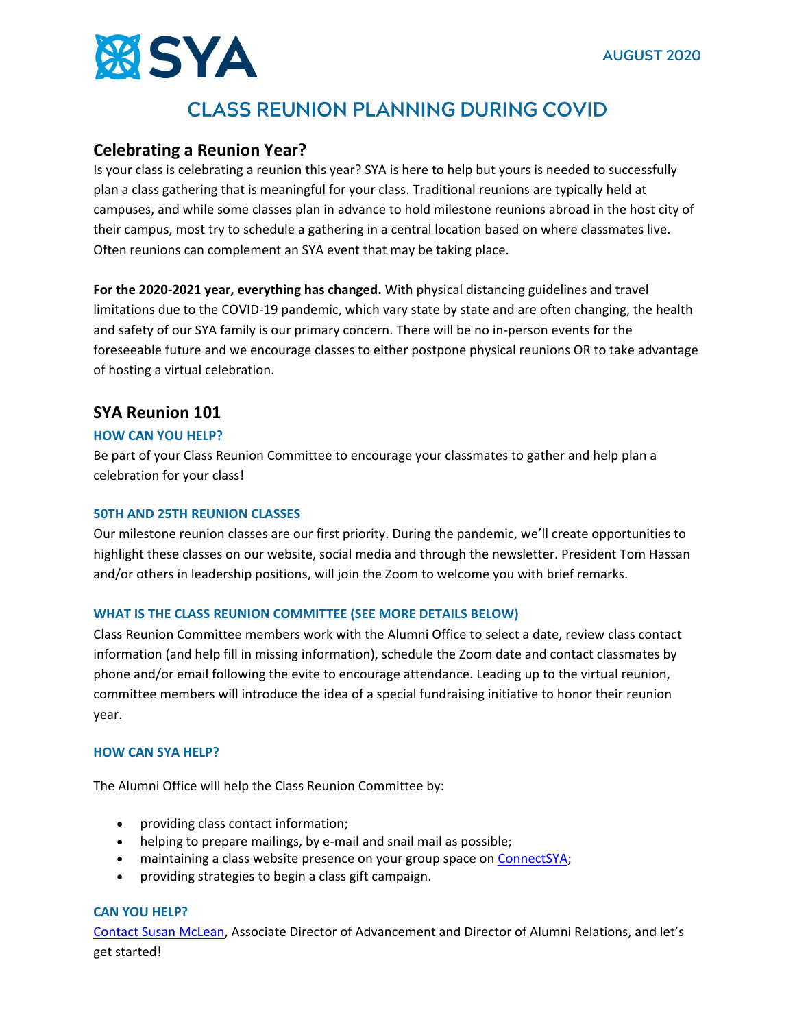

# **CLASS REUNION PLANNING DURING COVID**

# **Celebrating a Reunion Year?**

Is your class is celebrating a reunion this year? SYA is here to help but yours is needed to successfully plan a class gathering that is meaningful for your class. Traditional reunions are typically held at campuses, and while some classes plan in advance to hold milestone reunions abroad in the host city of their campus, most try to schedule a gathering in a central location based on where classmates live. Often reunions can complement an SYA event that may be taking place.

**For the 2020-2021 year, everything has changed.** With physical distancing guidelines and travel limitations due to the COVID-19 pandemic, which vary state by state and are often changing, the health and safety of our SYA family is our primary concern. There will be no in-person events for the foreseeable future and we encourage classes to either postpone physical reunions OR to take advantage of hosting a virtual celebration.

# **SYA Reunion 101**

# **HOW CAN YOU HELP?**

Be part of your Class Reunion Committee to encourage your classmates to gather and help plan a celebration for your class!

# **50TH AND 25TH REUNION CLASSES**

Our milestone reunion classes are our first priority. During the pandemic, we'll create opportunities to highlight these classes on our website, social media and through the newsletter. President Tom Hassan and/or others in leadership positions, will join the Zoom to welcome you with brief remarks.

#### **WHAT IS THE CLASS REUNION COMMITTEE (SEE MORE DETAILS BELOW)**

Class Reunion Committee members work with the Alumni Office to select a date, review class contact information (and help fill in missing information), schedule the Zoom date and contact classmates by phone and/or email following the evite to encourage attendance. Leading up to the virtual reunion, committee members will introduce the idea of a special fundraising initiative to honor their reunion year.

# **HOW CAN SYA HELP?**

The Alumni Office will help the Class Reunion Committee by:

- providing class contact information;
- helping to prepare mailings, by e-mail and snail mail as possible;
- maintaining a class website presence on your group space o[n ConnectSYA;](http://www.connectsya.org/)
- providing strategies to begin a class gift campaign.

# **CAN YOU HELP?**

[Contact Susan McLean,](mailto:smclean@sya.org) Associate Director of Advancement and Director of Alumni Relations, and let's get started!